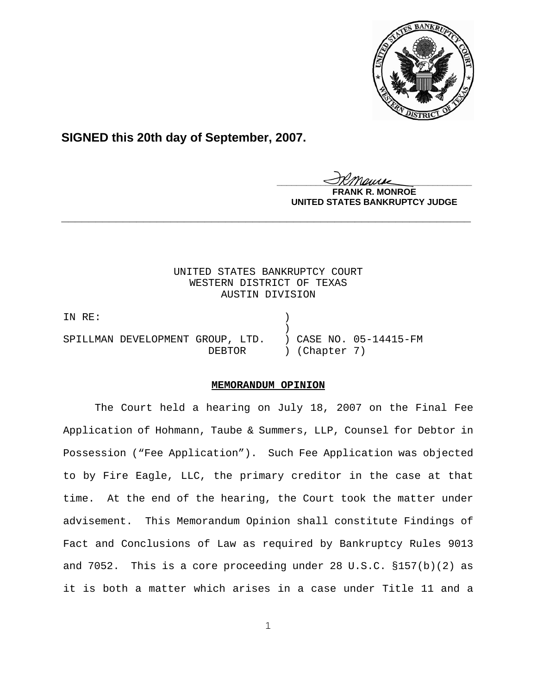

# **SIGNED this 20th day of September, 2007.**

<u>IKThemse</u>

**MONROE UNITED STATES BANKRUPTCY JUDGE**

# UNITED STATES BANKRUPTCY COURT WESTERN DISTRICT OF TEXAS AUSTIN DIVISION

**\_\_\_\_\_\_\_\_\_\_\_\_\_\_\_\_\_\_\_\_\_\_\_\_\_\_\_\_\_\_\_\_\_\_\_\_\_\_\_\_\_\_\_\_\_\_\_\_\_\_\_\_\_\_\_\_\_\_\_\_**

IN RE: )  $)$ SPILLMAN DEVELOPMENT GROUP, LTD. ) CASE NO. 05-14415-FM DEBTOR ) (Chapter 7)

## **MEMORANDUM OPINION**

The Court held a hearing on July 18, 2007 on the Final Fee Application of Hohmann, Taube & Summers, LLP, Counsel for Debtor in Possession ("Fee Application"). Such Fee Application was objected to by Fire Eagle, LLC, the primary creditor in the case at that time. At the end of the hearing, the Court took the matter under advisement. This Memorandum Opinion shall constitute Findings of Fact and Conclusions of Law as required by Bankruptcy Rules 9013 and 7052. This is a core proceeding under 28 U.S.C. §157(b)(2) as it is both a matter which arises in a case under Title 11 and a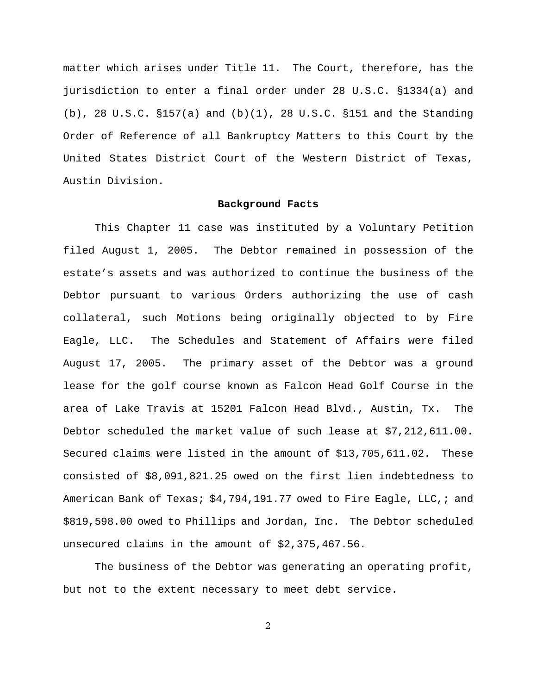matter which arises under Title 11. The Court, therefore, has the jurisdiction to enter a final order under 28 U.S.C. §1334(a) and (b), 28 U.S.C. §157(a) and (b)(1), 28 U.S.C. §151 and the Standing Order of Reference of all Bankruptcy Matters to this Court by the United States District Court of the Western District of Texas, Austin Division.

### **Background Facts**

This Chapter 11 case was instituted by a Voluntary Petition filed August 1, 2005. The Debtor remained in possession of the estate's assets and was authorized to continue the business of the Debtor pursuant to various Orders authorizing the use of cash collateral, such Motions being originally objected to by Fire Eagle, LLC. The Schedules and Statement of Affairs were filed August 17, 2005. The primary asset of the Debtor was a ground lease for the golf course known as Falcon Head Golf Course in the area of Lake Travis at 15201 Falcon Head Blvd., Austin, Tx. The Debtor scheduled the market value of such lease at \$7,212,611.00. Secured claims were listed in the amount of \$13,705,611.02. These consisted of \$8,091,821.25 owed on the first lien indebtedness to American Bank of Texas; \$4,794,191.77 owed to Fire Eagle, LLC,; and \$819,598.00 owed to Phillips and Jordan, Inc. The Debtor scheduled unsecured claims in the amount of \$2,375,467.56.

The business of the Debtor was generating an operating profit, but not to the extent necessary to meet debt service.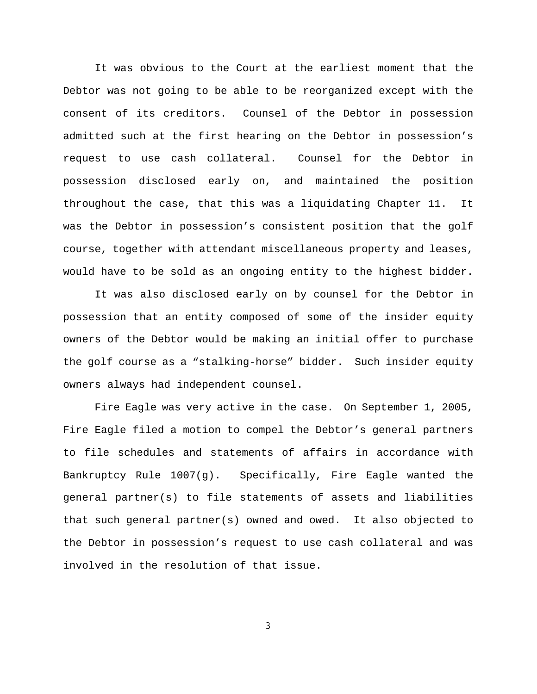It was obvious to the Court at the earliest moment that the Debtor was not going to be able to be reorganized except with the consent of its creditors. Counsel of the Debtor in possession admitted such at the first hearing on the Debtor in possession's request to use cash collateral. Counsel for the Debtor in possession disclosed early on, and maintained the position throughout the case, that this was a liquidating Chapter 11. It was the Debtor in possession's consistent position that the golf course, together with attendant miscellaneous property and leases, would have to be sold as an ongoing entity to the highest bidder.

It was also disclosed early on by counsel for the Debtor in possession that an entity composed of some of the insider equity owners of the Debtor would be making an initial offer to purchase the golf course as a "stalking-horse" bidder. Such insider equity owners always had independent counsel.

Fire Eagle was very active in the case. On September 1, 2005, Fire Eagle filed a motion to compel the Debtor's general partners to file schedules and statements of affairs in accordance with Bankruptcy Rule 1007(g). Specifically, Fire Eagle wanted the general partner(s) to file statements of assets and liabilities that such general partner(s) owned and owed. It also objected to the Debtor in possession's request to use cash collateral and was involved in the resolution of that issue.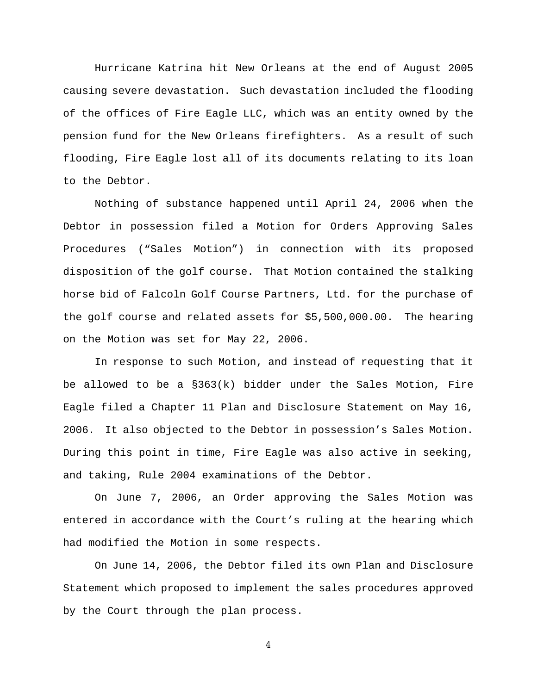Hurricane Katrina hit New Orleans at the end of August 2005 causing severe devastation. Such devastation included the flooding of the offices of Fire Eagle LLC, which was an entity owned by the pension fund for the New Orleans firefighters. As a result of such flooding, Fire Eagle lost all of its documents relating to its loan to the Debtor.

Nothing of substance happened until April 24, 2006 when the Debtor in possession filed a Motion for Orders Approving Sales Procedures ("Sales Motion") in connection with its proposed disposition of the golf course. That Motion contained the stalking horse bid of Falcoln Golf Course Partners, Ltd. for the purchase of the golf course and related assets for \$5,500,000.00. The hearing on the Motion was set for May 22, 2006.

In response to such Motion, and instead of requesting that it be allowed to be a  $\S 363(k)$  bidder under the Sales Motion, Fire Eagle filed a Chapter 11 Plan and Disclosure Statement on May 16, 2006. It also objected to the Debtor in possession's Sales Motion. During this point in time, Fire Eagle was also active in seeking, and taking, Rule 2004 examinations of the Debtor.

On June 7, 2006, an Order approving the Sales Motion was entered in accordance with the Court's ruling at the hearing which had modified the Motion in some respects.

On June 14, 2006, the Debtor filed its own Plan and Disclosure Statement which proposed to implement the sales procedures approved by the Court through the plan process.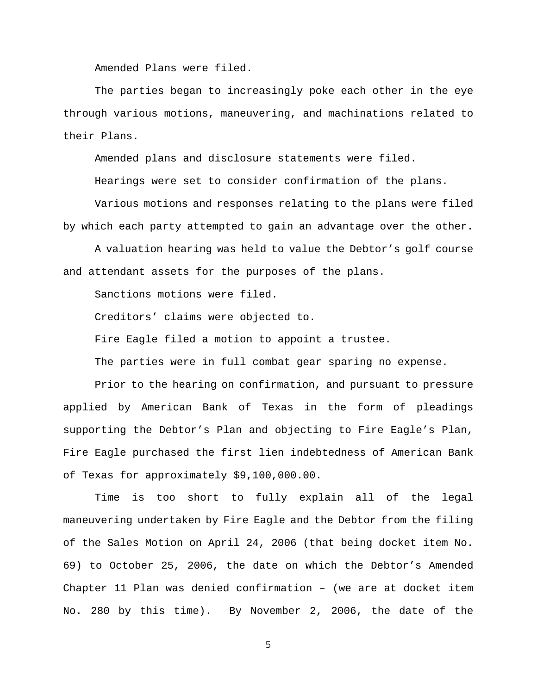Amended Plans were filed.

The parties began to increasingly poke each other in the eye through various motions, maneuvering, and machinations related to their Plans.

Amended plans and disclosure statements were filed.

Hearings were set to consider confirmation of the plans.

Various motions and responses relating to the plans were filed by which each party attempted to gain an advantage over the other.

A valuation hearing was held to value the Debtor's golf course and attendant assets for the purposes of the plans.

Sanctions motions were filed.

Creditors' claims were objected to.

Fire Eagle filed a motion to appoint a trustee.

The parties were in full combat gear sparing no expense.

Prior to the hearing on confirmation, and pursuant to pressure applied by American Bank of Texas in the form of pleadings supporting the Debtor's Plan and objecting to Fire Eagle's Plan, Fire Eagle purchased the first lien indebtedness of American Bank of Texas for approximately \$9,100,000.00.

Time is too short to fully explain all of the legal maneuvering undertaken by Fire Eagle and the Debtor from the filing of the Sales Motion on April 24, 2006 (that being docket item No. 69) to October 25, 2006, the date on which the Debtor's Amended Chapter 11 Plan was denied confirmation – (we are at docket item No. 280 by this time). By November 2, 2006, the date of the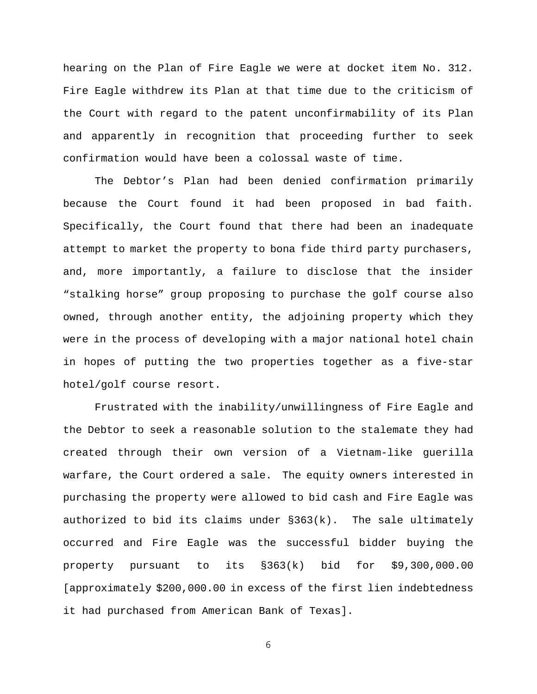hearing on the Plan of Fire Eagle we were at docket item No. 312. Fire Eagle withdrew its Plan at that time due to the criticism of the Court with regard to the patent unconfirmability of its Plan and apparently in recognition that proceeding further to seek confirmation would have been a colossal waste of time.

The Debtor's Plan had been denied confirmation primarily because the Court found it had been proposed in bad faith. Specifically, the Court found that there had been an inadequate attempt to market the property to bona fide third party purchasers, and, more importantly, a failure to disclose that the insider "stalking horse" group proposing to purchase the golf course also owned, through another entity, the adjoining property which they were in the process of developing with a major national hotel chain in hopes of putting the two properties together as a five-star hotel/golf course resort.

Frustrated with the inability/unwillingness of Fire Eagle and the Debtor to seek a reasonable solution to the stalemate they had created through their own version of a Vietnam-like guerilla warfare, the Court ordered a sale. The equity owners interested in purchasing the property were allowed to bid cash and Fire Eagle was authorized to bid its claims under §363(k). The sale ultimately occurred and Fire Eagle was the successful bidder buying the property pursuant to its §363(k) bid for \$9,300,000.00 [approximately \$200,000.00 in excess of the first lien indebtedness it had purchased from American Bank of Texas].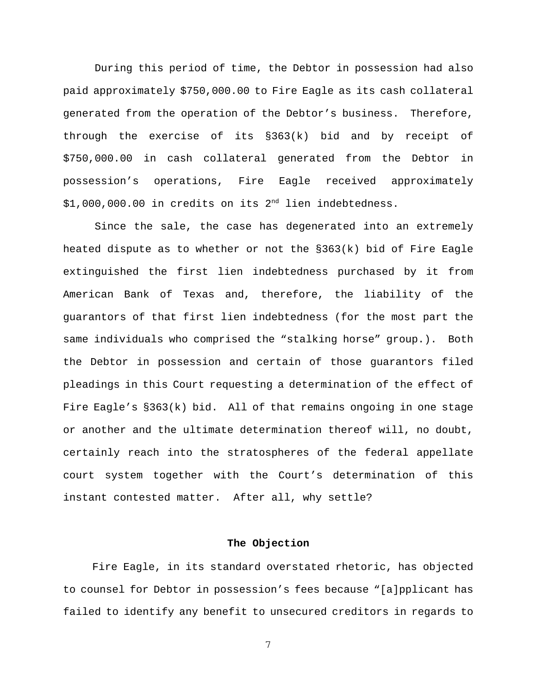During this period of time, the Debtor in possession had also paid approximately \$750,000.00 to Fire Eagle as its cash collateral generated from the operation of the Debtor's business. Therefore, through the exercise of its §363(k) bid and by receipt of \$750,000.00 in cash collateral generated from the Debtor in possession's operations, Fire Eagle received approximately \$1,000,000.00 in credits on its 2nd lien indebtedness.

Since the sale, the case has degenerated into an extremely heated dispute as to whether or not the §363(k) bid of Fire Eagle extinguished the first lien indebtedness purchased by it from American Bank of Texas and, therefore, the liability of the guarantors of that first lien indebtedness (for the most part the same individuals who comprised the "stalking horse" group.). Both the Debtor in possession and certain of those guarantors filed pleadings in this Court requesting a determination of the effect of Fire Eagle's §363(k) bid. All of that remains ongoing in one stage or another and the ultimate determination thereof will, no doubt, certainly reach into the stratospheres of the federal appellate court system together with the Court's determination of this instant contested matter. After all, why settle?

### **The Objection**

 Fire Eagle, in its standard overstated rhetoric, has objected to counsel for Debtor in possession's fees because "[a]pplicant has failed to identify any benefit to unsecured creditors in regards to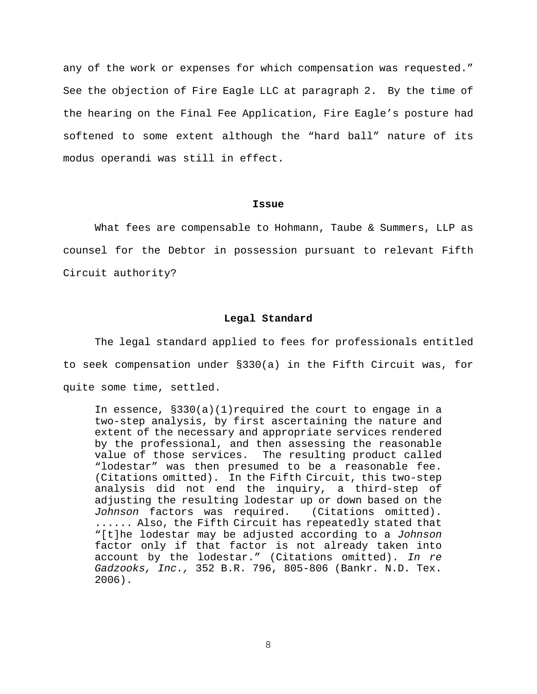any of the work or expenses for which compensation was requested." See the objection of Fire Eagle LLC at paragraph 2. By the time of the hearing on the Final Fee Application, Fire Eagle's posture had softened to some extent although the "hard ball" nature of its modus operandi was still in effect.

#### **Issue**

What fees are compensable to Hohmann, Taube & Summers, LLP as counsel for the Debtor in possession pursuant to relevant Fifth Circuit authority?

#### **Legal Standard**

The legal standard applied to fees for professionals entitled to seek compensation under §330(a) in the Fifth Circuit was, for quite some time, settled.

In essence,  $\S 330(a)(1)$ required the court to engage in a two-step analysis, by first ascertaining the nature and extent of the necessary and appropriate services rendered by the professional, and then assessing the reasonable value of those services. The resulting product called "lodestar" was then presumed to be a reasonable fee. (Citations omitted). In the Fifth Circuit, this two-step analysis did not end the inquiry, a third-step of adjusting the resulting lodestar up or down based on the *Johnson* factors was required. (Citations omitted). ...... Also, the Fifth Circuit has repeatedly stated that "[t]he lodestar may be adjusted according to a *Johnson* factor only if that factor is not already taken into account by the lodestar." (Citations omitted). *In re Gadzooks, Inc.,* 352 B.R. 796, 805-806 (Bankr. N.D. Tex. 2006).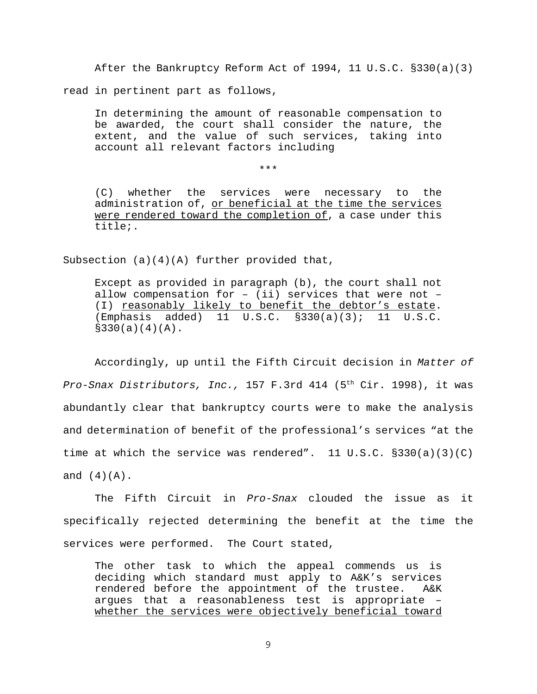After the Bankruptcy Reform Act of 1994, 11 U.S.C. §330(a)(3) read in pertinent part as follows,

In determining the amount of reasonable compensation to be awarded, the court shall consider the nature, the extent, and the value of such services, taking into account all relevant factors including

\*\*\*

(C) whether the services were necessary to the administration of, or beneficial at the time the services were rendered toward the completion of, a case under this title;.

Subsection  $(a)(4)(A)$  further provided that,

Except as provided in paragraph (b), the court shall not allow compensation for  $-$  (ii) services that were not  $-$ (I) reasonably likely to benefit the debtor's estate. (Emphasis added) 11 U.S.C. §330(a)(3); 11 U.S.C.  $$330(a)(4)(A)$ .

Accordingly, up until the Fifth Circuit decision in *Matter of Pro-Snax Distributors, Inc.,* 157 F.3rd 414 (5th Cir. 1998), it was abundantly clear that bankruptcy courts were to make the analysis and determination of benefit of the professional's services "at the time at which the service was rendered". 11 U.S.C.  $\S 330(a)(3)(C)$ and  $(4)(A)$ .

The Fifth Circuit in *Pro-Snax* clouded the issue as it specifically rejected determining the benefit at the time the services were performed. The Court stated,

The other task to which the appeal commends us is deciding which standard must apply to A&K's services rendered before the appointment of the trustee. A&K argues that a reasonableness test is appropriate – whether the services were objectively beneficial toward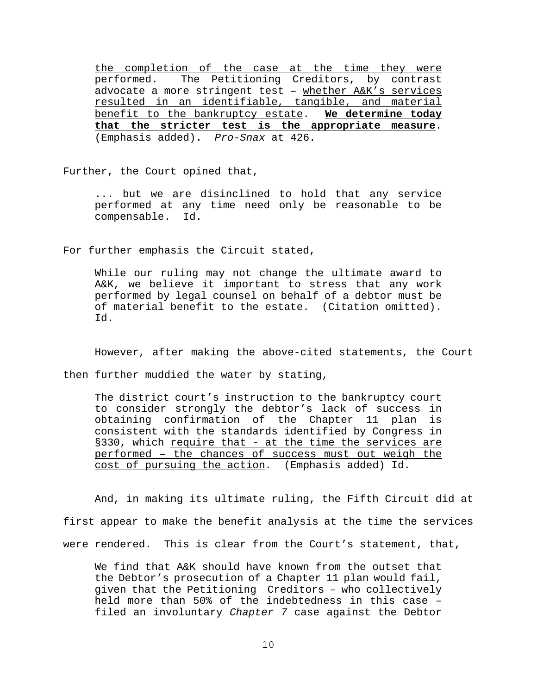the completion of the case at the time they were performed. The Petitioning Creditors, by contrast advocate a more stringent test - whether A&K's services resulted in an identifiable, tangible, and material benefit to the bankruptcy estate. **We determine today that the stricter test is the appropriate measure**. (Emphasis added). *Pro-Snax* at 426.

Further, the Court opined that,

... but we are disinclined to hold that any service performed at any time need only be reasonable to be compensable. Id.

For further emphasis the Circuit stated,

While our ruling may not change the ultimate award to A&K, we believe it important to stress that any work performed by legal counsel on behalf of a debtor must be of material benefit to the estate. (Citation omitted). Id.

However, after making the above-cited statements, the Court

then further muddied the water by stating,

The district court's instruction to the bankruptcy court to consider strongly the debtor's lack of success in obtaining confirmation of the Chapter 11 plan is consistent with the standards identified by Congress in §330, which require that - at the time the services are performed – the chances of success must out weigh the cost of pursuing the action. (Emphasis added) Id.

And, in making its ultimate ruling, the Fifth Circuit did at first appear to make the benefit analysis at the time the services were rendered. This is clear from the Court's statement, that,

We find that A&K should have known from the outset that the Debtor's prosecution of a Chapter 11 plan would fail, given that the Petitioning Creditors – who collectively held more than 50% of the indebtedness in this case – filed an involuntary *Chapter 7* case against the Debtor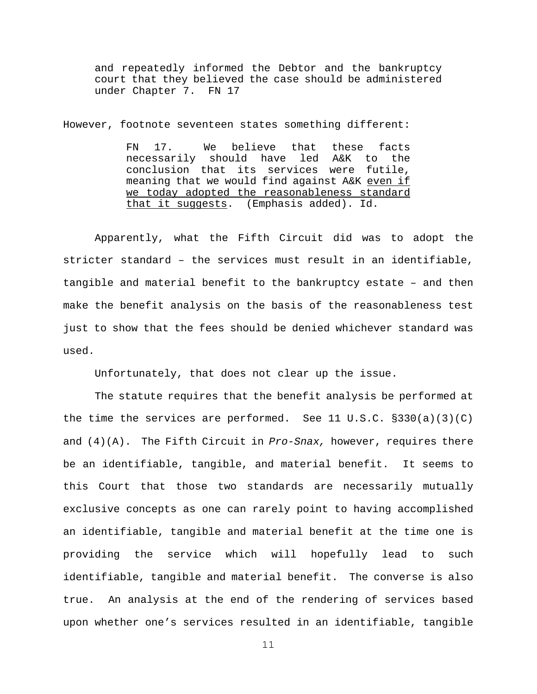and repeatedly informed the Debtor and the bankruptcy court that they believed the case should be administered under Chapter 7. FN 17

However, footnote seventeen states something different:

FN 17. We believe that these facts necessarily should have led A&K to the conclusion that its services were futile, meaning that we would find against A&K even if we today adopted the reasonableness standard that it suggests. (Emphasis added). Id.

Apparently, what the Fifth Circuit did was to adopt the stricter standard – the services must result in an identifiable, tangible and material benefit to the bankruptcy estate – and then make the benefit analysis on the basis of the reasonableness test just to show that the fees should be denied whichever standard was used.

Unfortunately, that does not clear up the issue.

The statute requires that the benefit analysis be performed at the time the services are performed. See 11 U.S.C.  $\S 330(a)(3)(C)$ and (4)(A). The Fifth Circuit in *Pro-Snax,* however, requires there be an identifiable, tangible, and material benefit. It seems to this Court that those two standards are necessarily mutually exclusive concepts as one can rarely point to having accomplished an identifiable, tangible and material benefit at the time one is providing the service which will hopefully lead to such identifiable, tangible and material benefit. The converse is also true. An analysis at the end of the rendering of services based upon whether one's services resulted in an identifiable, tangible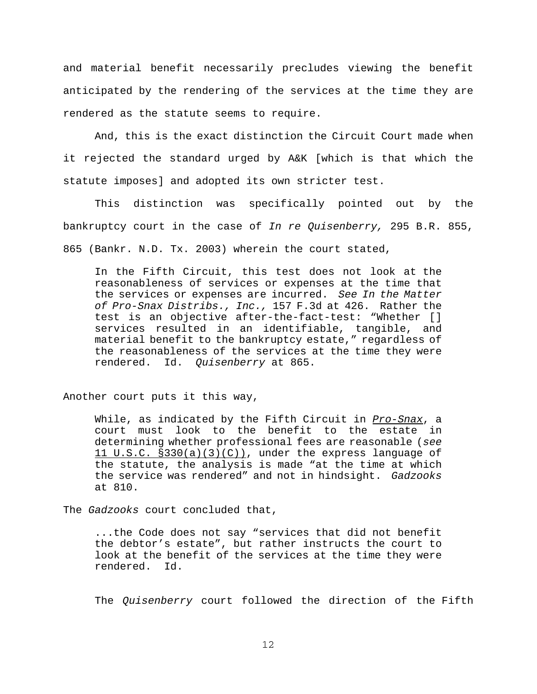and material benefit necessarily precludes viewing the benefit anticipated by the rendering of the services at the time they are rendered as the statute seems to require.

And, this is the exact distinction the Circuit Court made when it rejected the standard urged by A&K [which is that which the statute imposes] and adopted its own stricter test.

This distinction was specifically pointed out by the bankruptcy court in the case of *In re Quisenberry,* 295 B.R. 855, 865 (Bankr. N.D. Tx. 2003) wherein the court stated,

 In the Fifth Circuit, this test does not look at the reasonableness of services or expenses at the time that the services or expenses are incurred. *See In the Matter of Pro-Snax Distribs., Inc.,* 157 F.3d at 426. Rather the test is an objective after-the-fact-test: "Whether [] services resulted in an identifiable, tangible, and material benefit to the bankruptcy estate," regardless of the reasonableness of the services at the time they were rendered. Id. *Quisenberry* at 865.

Another court puts it this way,

While, as indicated by the Fifth Circuit in *Pro-Snax*, a court must look to the benefit to the estate in determining whether professional fees are reasonable (*see*  $11$  U.S.C. §330(a)(3)(C)), under the express language of the statute, the analysis is made "at the time at which the service was rendered" and not in hindsight. *Gadzooks* at 810.

The *Gadzooks* court concluded that,

...the Code does not say "services that did not benefit the debtor's estate", but rather instructs the court to look at the benefit of the services at the time they were rendered. Id.

The *Quisenberry* court followed the direction of the Fifth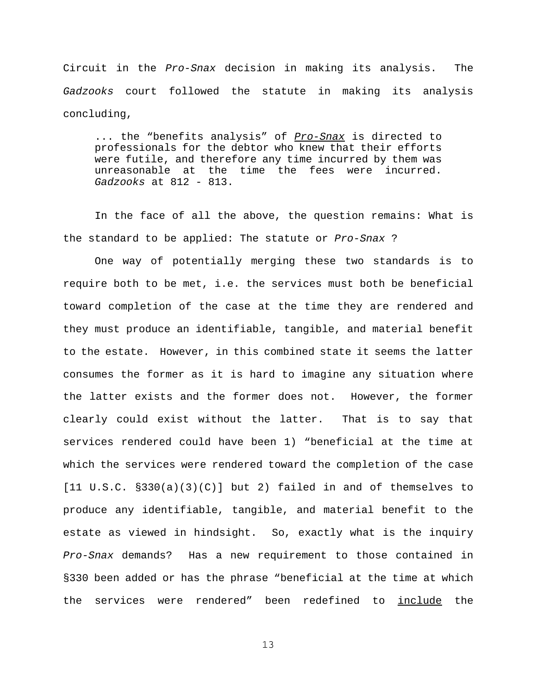Circuit in the *Pro-Snax* decision in making its analysis. The *Gadzooks* court followed the statute in making its analysis concluding,

... the "benefits analysis" of *Pro-Snax* is directed to professionals for the debtor who knew that their efforts were futile, and therefore any time incurred by them was unreasonable at the time the fees were incurred. *Gadzooks* at 812 - 813.

In the face of all the above, the question remains: What is the standard to be applied: The statute or *Pro-Snax* ?

One way of potentially merging these two standards is to require both to be met, i.e. the services must both be beneficial toward completion of the case at the time they are rendered and they must produce an identifiable, tangible, and material benefit to the estate. However, in this combined state it seems the latter consumes the former as it is hard to imagine any situation where the latter exists and the former does not. However, the former clearly could exist without the latter. That is to say that services rendered could have been 1) "beneficial at the time at which the services were rendered toward the completion of the case  $[11 \tU.S.C. §330(a)(3)(C)]$  but 2) failed in and of themselves to produce any identifiable, tangible, and material benefit to the estate as viewed in hindsight. So, exactly what is the inquiry *Pro-Snax* demands? Has a new requirement to those contained in §330 been added or has the phrase "beneficial at the time at which the services were rendered" been redefined to *include* the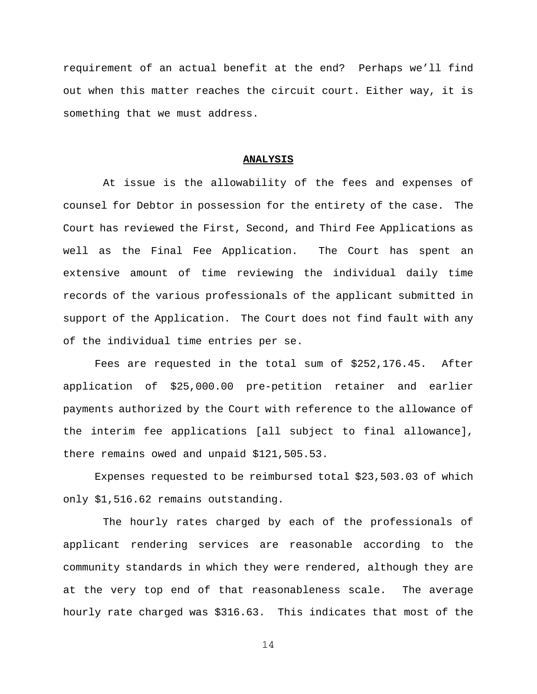requirement of an actual benefit at the end? Perhaps we'll find out when this matter reaches the circuit court. Either way, it is something that we must address.

#### **ANALYSIS**

 At issue is the allowability of the fees and expenses of counsel for Debtor in possession for the entirety of the case. The Court has reviewed the First, Second, and Third Fee Applications as well as the Final Fee Application. The Court has spent an extensive amount of time reviewing the individual daily time records of the various professionals of the applicant submitted in support of the Application. The Court does not find fault with any of the individual time entries per se.

Fees are requested in the total sum of \$252,176.45. After application of \$25,000.00 pre-petition retainer and earlier payments authorized by the Court with reference to the allowance of the interim fee applications [all subject to final allowance], there remains owed and unpaid \$121,505.53.

Expenses requested to be reimbursed total \$23,503.03 of which only \$1,516.62 remains outstanding.

 The hourly rates charged by each of the professionals of applicant rendering services are reasonable according to the community standards in which they were rendered, although they are at the very top end of that reasonableness scale. The average hourly rate charged was \$316.63. This indicates that most of the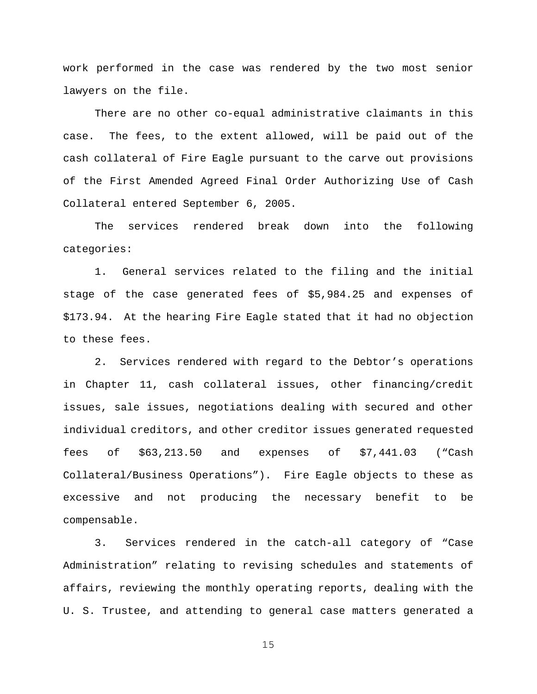work performed in the case was rendered by the two most senior lawyers on the file.

There are no other co-equal administrative claimants in this case. The fees, to the extent allowed, will be paid out of the cash collateral of Fire Eagle pursuant to the carve out provisions of the First Amended Agreed Final Order Authorizing Use of Cash Collateral entered September 6, 2005.

The services rendered break down into the following categories:

1. General services related to the filing and the initial stage of the case generated fees of \$5,984.25 and expenses of \$173.94. At the hearing Fire Eagle stated that it had no objection to these fees.

2. Services rendered with regard to the Debtor's operations in Chapter 11, cash collateral issues, other financing/credit issues, sale issues, negotiations dealing with secured and other individual creditors, and other creditor issues generated requested fees of \$63,213.50 and expenses of \$7,441.03 ("Cash Collateral/Business Operations"). Fire Eagle objects to these as excessive and not producing the necessary benefit to be compensable.

3. Services rendered in the catch-all category of "Case Administration" relating to revising schedules and statements of affairs, reviewing the monthly operating reports, dealing with the U. S. Trustee, and attending to general case matters generated a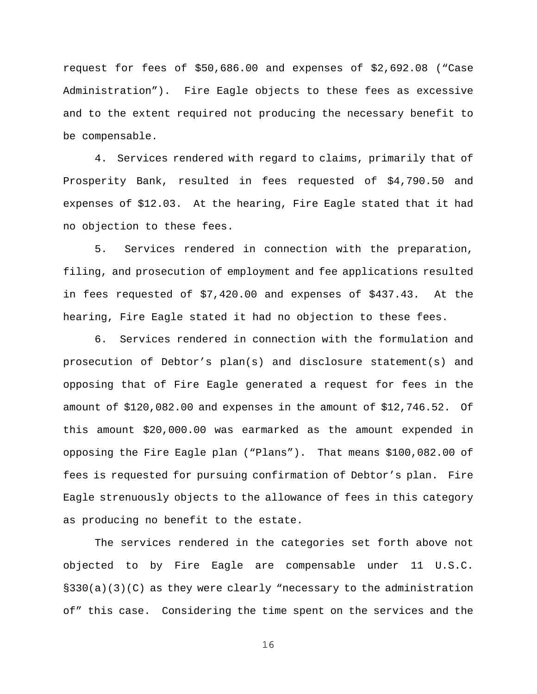request for fees of \$50,686.00 and expenses of \$2,692.08 ("Case Administration"). Fire Eagle objects to these fees as excessive and to the extent required not producing the necessary benefit to be compensable.

4. Services rendered with regard to claims, primarily that of Prosperity Bank, resulted in fees requested of \$4,790.50 and expenses of \$12.03. At the hearing, Fire Eagle stated that it had no objection to these fees.

5. Services rendered in connection with the preparation, filing, and prosecution of employment and fee applications resulted in fees requested of \$7,420.00 and expenses of \$437.43. At the hearing, Fire Eagle stated it had no objection to these fees.

6. Services rendered in connection with the formulation and prosecution of Debtor's plan(s) and disclosure statement(s) and opposing that of Fire Eagle generated a request for fees in the amount of \$120,082.00 and expenses in the amount of \$12,746.52. Of this amount \$20,000.00 was earmarked as the amount expended in opposing the Fire Eagle plan ("Plans"). That means \$100,082.00 of fees is requested for pursuing confirmation of Debtor's plan. Fire Eagle strenuously objects to the allowance of fees in this category as producing no benefit to the estate.

The services rendered in the categories set forth above not objected to by Fire Eagle are compensable under 11 U.S.C. §330(a)(3)(C) as they were clearly "necessary to the administration of" this case. Considering the time spent on the services and the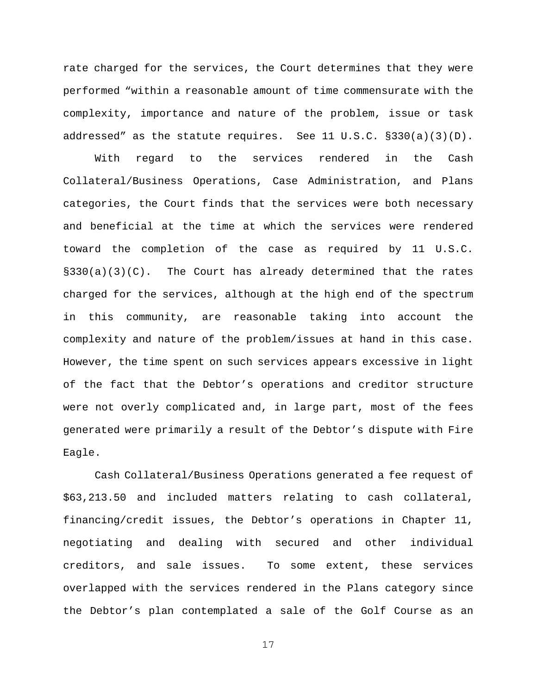rate charged for the services, the Court determines that they were performed "within a reasonable amount of time commensurate with the complexity, importance and nature of the problem, issue or task addressed" as the statute requires. See 11 U.S.C. §330(a)(3)(D).

With regard to the services rendered in the Cash Collateral/Business Operations, Case Administration, and Plans categories, the Court finds that the services were both necessary and beneficial at the time at which the services were rendered toward the completion of the case as required by 11 U.S.C.  $\S 330(a)(3)(C)$ . The Court has already determined that the rates charged for the services, although at the high end of the spectrum in this community, are reasonable taking into account the complexity and nature of the problem/issues at hand in this case. However, the time spent on such services appears excessive in light of the fact that the Debtor's operations and creditor structure were not overly complicated and, in large part, most of the fees generated were primarily a result of the Debtor's dispute with Fire Eagle.

Cash Collateral/Business Operations generated a fee request of \$63,213.50 and included matters relating to cash collateral, financing/credit issues, the Debtor's operations in Chapter 11, negotiating and dealing with secured and other individual creditors, and sale issues. To some extent, these services overlapped with the services rendered in the Plans category since the Debtor's plan contemplated a sale of the Golf Course as an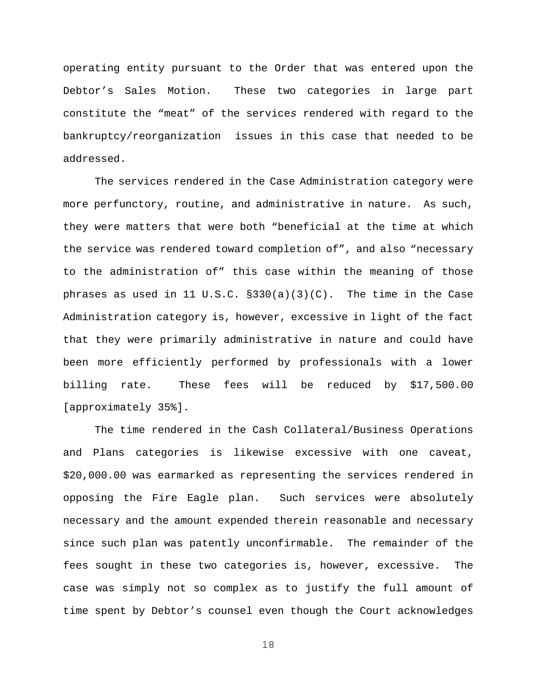operating entity pursuant to the Order that was entered upon the Debtor's Sales Motion. These two categories in large part constitute the "meat" of the service*s* rendered with regard to the bankruptcy/reorganization issues in this case that needed to be addressed.

The services rendered in the Case Administration category were more perfunctory, routine, and administrative in nature. As such, they were matters that were both "beneficial at the time at which the service was rendered toward completion of", and also "necessary to the administration of" this case within the meaning of those phrases as used in 11 U.S.C.  $\S 330(a)(3)(C)$ . The time in the Case Administration category is, however, excessive in light of the fact that they were primarily administrative in nature and could have been more efficiently performed by professionals with a lower billing rate. These fees will be reduced by \$17,500.00 [approximately 35%].

The time rendered in the Cash Collateral/Business Operations and Plans categories is likewise excessive with one caveat, \$20,000.00 was earmarked as representing the services rendered in opposing the Fire Eagle plan. Such services were absolutely necessary and the amount expended therein reasonable and necessary since such plan was patently unconfirmable. The remainder of the fees sought in these two categories is, however, excessive. The case was simply not so complex as to justify the full amount of time spent by Debtor's counsel even though the Court acknowledges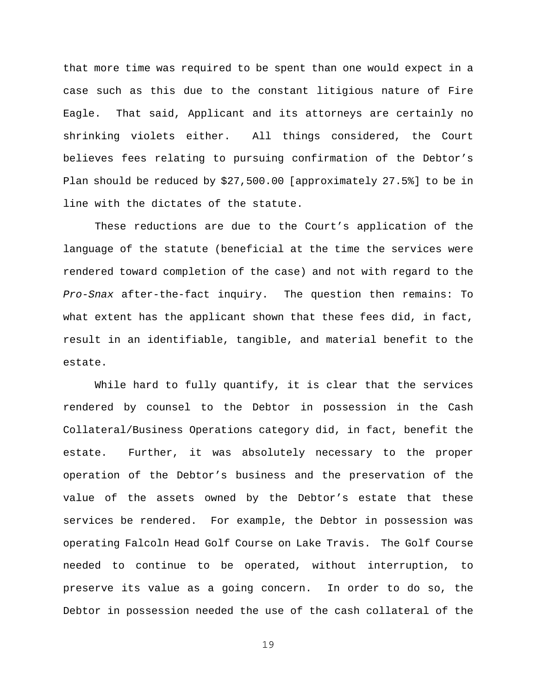that more time was required to be spent than one would expect in a case such as this due to the constant litigious nature of Fire Eagle. That said, Applicant and its attorneys are certainly no shrinking violets either. All things considered, the Court believes fees relating to pursuing confirmation of the Debtor's Plan should be reduced by \$27,500.00 [approximately 27.5%] to be in line with the dictates of the statute.

These reductions are due to the Court's application of the language of the statute (beneficial at the time the services were rendered toward completion of the case) and not with regard to the *Pro-Snax* after-the-fact inquiry. The question then remains: To what extent has the applicant shown that these fees did, in fact, result in an identifiable, tangible, and material benefit to the estate.

While hard to fully quantify, it is clear that the services rendered by counsel to the Debtor in possession in the Cash Collateral/Business Operations category did, in fact, benefit the estate. Further, it was absolutely necessary to the proper operation of the Debtor's business and the preservation of the value of the assets owned by the Debtor's estate that these services be rendered. For example, the Debtor in possession was operating Falcoln Head Golf Course on Lake Travis. The Golf Course needed to continue to be operated, without interruption, to preserve its value as a going concern. In order to do so, the Debtor in possession needed the use of the cash collateral of the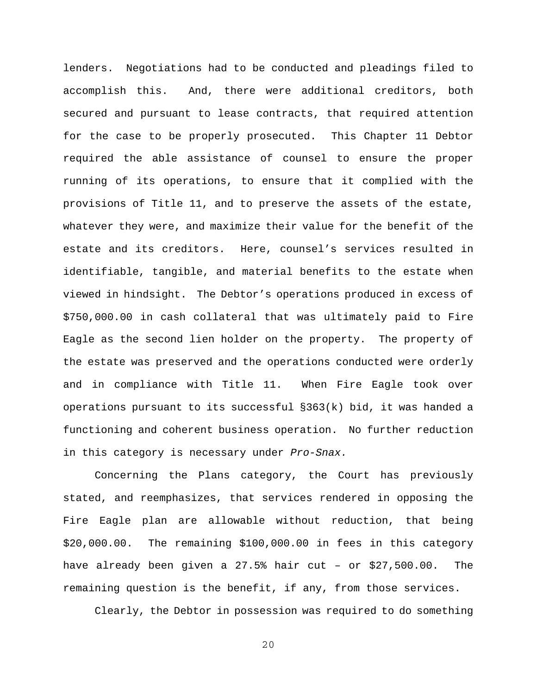lenders. Negotiations had to be conducted and pleadings filed to accomplish this. And, there were additional creditors, both secured and pursuant to lease contracts, that required attention for the case to be properly prosecuted. This Chapter 11 Debtor required the able assistance of counsel to ensure the proper running of its operations, to ensure that it complied with the provisions of Title 11, and to preserve the assets of the estate, whatever they were, and maximize their value for the benefit of the estate and its creditors. Here, counsel's services resulted in identifiable, tangible, and material benefits to the estate when viewed in hindsight. The Debtor's operations produced in excess of \$750,000.00 in cash collateral that was ultimately paid to Fire Eagle as the second lien holder on the property. The property of the estate was preserved and the operations conducted were orderly and in compliance with Title 11. When Fire Eagle took over operations pursuant to its successful §363(k) bid, it was handed a functioning and coherent business operation. No further reduction in this category is necessary under *Pro-Snax.*

Concerning the Plans category, the Court has previously stated, and reemphasizes, that services rendered in opposing the Fire Eagle plan are allowable without reduction, that being \$20,000.00. The remaining \$100,000.00 in fees in this category have already been given a 27.5% hair cut – or \$27,500.00. The remaining question is the benefit, if any, from those services.

Clearly, the Debtor in possession was required to do something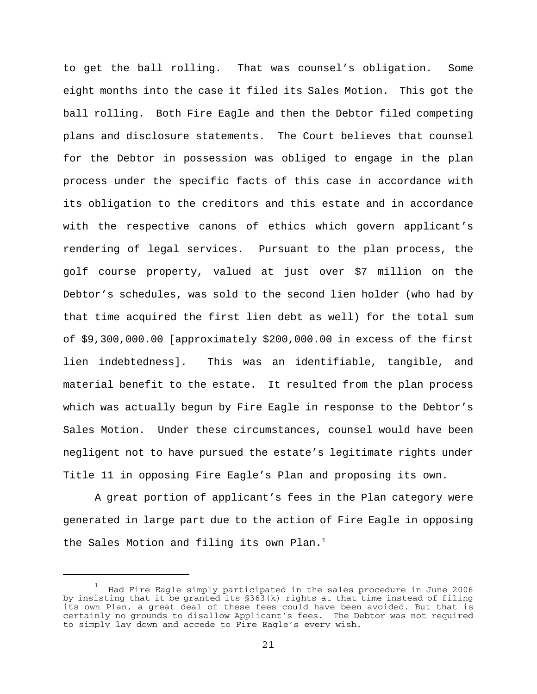to get the ball rolling. That was counsel's obligation. Some eight months into the case it filed its Sales Motion. This got the ball rolling. Both Fire Eagle and then the Debtor filed competing plans and disclosure statements. The Court believes that counsel for the Debtor in possession was obliged to engage in the plan process under the specific facts of this case in accordance with its obligation to the creditors and this estate and in accordance with the respective canons of ethics which govern applicant's rendering of legal services. Pursuant to the plan process, the golf course property, valued at just over \$7 million on the Debtor's schedules, was sold to the second lien holder (who had by that time acquired the first lien debt as well) for the total sum of \$9,300,000.00 [approximately \$200,000.00 in excess of the first lien indebtedness]. This was an identifiable, tangible, and material benefit to the estate. It resulted from the plan process which was actually begun by Fire Eagle in response to the Debtor's Sales Motion. Under these circumstances, counsel would have been negligent not to have pursued the estate's legitimate rights under Title 11 in opposing Fire Eagle's Plan and proposing its own.

A great portion of applicant's fees in the Plan category were generated in large part due to the action of Fire Eagle in opposing the Sales Motion and filing its own Plan.<sup>1</sup>

<sup>1</sup> Had Fire Eagle simply participated in the sales procedure in June 2006 by insisting that it be granted its §363(k) rights at that time instead of filing its own Plan, a great deal of these fees could have been avoided. But that is certainly no grounds to disallow Applicant's fees. The Debtor was not required to simply lay down and accede to Fire Eagle's every wish.